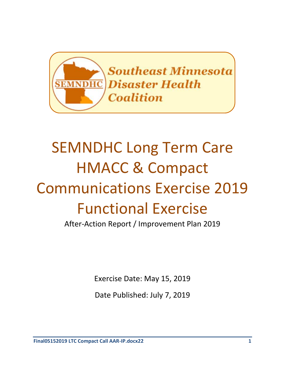

# SEMNDHC Long Term Care HMACC & Compact Communications Exercise 2019 Functional Exercise

After-Action Report / Improvement Plan 2019

Exercise Date: May 15, 2019

Date Published: July 7, 2019

**Final05152019 LTC Compact Call AAR-IP.docx22 1**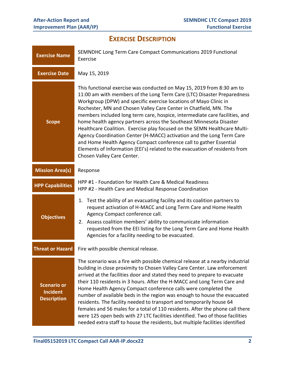# **EXERCISE DESCRIPTION**

| <b>Exercise Name</b>                                                                                                                                                                                                                                                                                                                                                                                   | SEMNDHC Long Term Care Compact Communications 2019 Functional<br>Exercise                                                                                                                                                                                                                                                                                                                                                                                                                                                                                                                                                                                                                                                                                                                    |  |  |
|--------------------------------------------------------------------------------------------------------------------------------------------------------------------------------------------------------------------------------------------------------------------------------------------------------------------------------------------------------------------------------------------------------|----------------------------------------------------------------------------------------------------------------------------------------------------------------------------------------------------------------------------------------------------------------------------------------------------------------------------------------------------------------------------------------------------------------------------------------------------------------------------------------------------------------------------------------------------------------------------------------------------------------------------------------------------------------------------------------------------------------------------------------------------------------------------------------------|--|--|
| <b>Exercise Date</b>                                                                                                                                                                                                                                                                                                                                                                                   | May 15, 2019                                                                                                                                                                                                                                                                                                                                                                                                                                                                                                                                                                                                                                                                                                                                                                                 |  |  |
| <b>Scope</b>                                                                                                                                                                                                                                                                                                                                                                                           | This functional exercise was conducted on May 15, 2019 from 8:30 am to<br>11:00 am with members of the Long Term Care (LTC) Disaster Preparedness<br>Workgroup (DPW) and specific exercise locations of Mayo Clinic in<br>Rochester, MN and Chosen Valley Care Center in Chatfield, MN. The<br>members included long term care, hospice, intermediate care facilities, and<br>home health agency partners across the Southeast Minnesota Disaster<br>Healthcare Coalition. Exercise play focused on the SEMN Healthcare Multi-<br>Agency Coordination Center (H-MACC) activation and the Long Term Care<br>and Home Health Agency Compact conference call to gather Essential<br>Elements of Information (EEI's) related to the evacuation of residents from<br>Chosen Valley Care Center.   |  |  |
| <b>Mission Area(s)</b>                                                                                                                                                                                                                                                                                                                                                                                 | Response                                                                                                                                                                                                                                                                                                                                                                                                                                                                                                                                                                                                                                                                                                                                                                                     |  |  |
| <b>HPP Capabilities</b>                                                                                                                                                                                                                                                                                                                                                                                | HPP #1 - Foundation for Health Care & Medical Readiness<br>HPP #2 - Health Care and Medical Response Coordination                                                                                                                                                                                                                                                                                                                                                                                                                                                                                                                                                                                                                                                                            |  |  |
| 1. Test the ability of an evacuating facility and its coalition partners to<br>request activation of H-MACC and Long Term Care and Home Health<br>Agency Compact conference call.<br><b>Objectives</b><br>2. Assess coalition members' ability to communicate information<br>requested from the EEI listing for the Long Term Care and Home Health<br>Agencies for a facility needing to be evacuated. |                                                                                                                                                                                                                                                                                                                                                                                                                                                                                                                                                                                                                                                                                                                                                                                              |  |  |
| <b>Threat or Hazard</b>                                                                                                                                                                                                                                                                                                                                                                                | Fire with possible chemical release.                                                                                                                                                                                                                                                                                                                                                                                                                                                                                                                                                                                                                                                                                                                                                         |  |  |
| <b>Scenario or</b><br><b>Incident</b><br><b>Description</b>                                                                                                                                                                                                                                                                                                                                            | The scenario was a fire with possible chemical release at a nearby industrial<br>building in close proximity to Chosen Valley Care Center. Law enforcement<br>arrived at the facilities door and stated they need to prepare to evacuate<br>their 110 residents in 3 hours. After the H-MACC and Long Term Care and<br>Home Health Agency Compact conference calls were completed the<br>number of available beds in the region was enough to house the evacuated<br>residents. The facility needed to transport and temporarily house 64<br>females and 56 males for a total of 110 residents. After the phone call there<br>were 125 open beds with 27 LTC facilities identified. Two of those facilities<br>needed extra staff to house the residents, but multiple facilities identified |  |  |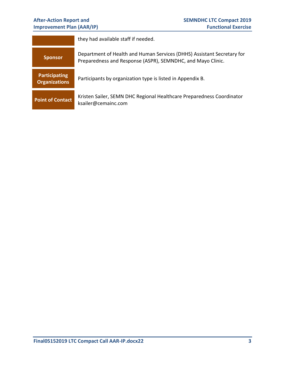# **Improvement Plan (AAR/IP)**

|                                                                                                                         | they had available staff if needed.                                                                                                   |  |  |  |
|-------------------------------------------------------------------------------------------------------------------------|---------------------------------------------------------------------------------------------------------------------------------------|--|--|--|
| <b>Sponsor</b>                                                                                                          | Department of Health and Human Services (DHHS) Assistant Secretary for<br>Preparedness and Response (ASPR), SEMNDHC, and Mayo Clinic. |  |  |  |
| <b>Participating</b><br><b>Organizations</b>                                                                            | Participants by organization type is listed in Appendix B.                                                                            |  |  |  |
| Kristen Sailer, SEMN DHC Regional Healthcare Preparedness Coordinator<br><b>Point of Contact</b><br>ksailer@cemainc.com |                                                                                                                                       |  |  |  |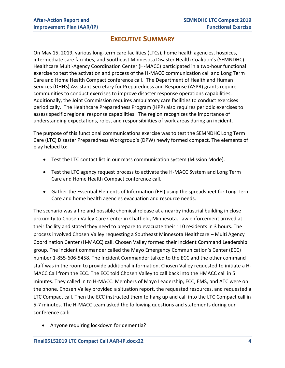# **EXECUTIVE SUMMARY**

On May 15, 2019, various long-term care facilities (LTCs), home health agencies, hospices, intermediate care facilities, and Southeast Minnesota Disaster Health Coalition's (SEMNDHC) Healthcare Multi-Agency Coordination Center (H-MACC) participated in a two-hour functional exercise to test the activation and process of the H-MACC communication call and Long Term Care and Home Health Compact conference call. The Department of Health and Human Services (DHHS) Assistant Secretary for Preparedness and Response (ASPR) grants require communities to conduct exercises to improve disaster response operations capabilities. Additionally, the Joint Commission requires ambulatory care facilities to conduct exercises periodically. The Healthcare Preparedness Program (HPP) also requires periodic exercises to assess specific regional response capabilities. The region recognizes the importance of understanding expectations, roles, and responsibilities of work areas during an incident.

The purpose of this functional communications exercise was to test the SEMNDHC Long Term Care (LTC) Disaster Preparedness Workgroup's (DPW) newly formed compact. The elements of play helped to:

- Test the LTC contact list in our mass communication system (Mission Mode).
- Test the LTC agency request process to activate the H-MACC System and Long Term Care and Home Health Compact conference call.
- Gather the Essential Elements of Information (EEI) using the spreadsheet for Long Term Care and home health agencies evacuation and resource needs.

The scenario was a fire and possible chemical release at a nearby industrial building in close proximity to Chosen Valley Care Center in Chatfield, Minnesota. Law enforcement arrived at their facility and stated they need to prepare to evacuate their 110 residents in 3 hours. The process involved Chosen Valley requesting a Southeast Minnesota Healthcare – Multi Agency Coordination Center (H-MACC) call. Chosen Valley formed their Incident Command Leadership group. The incident commander called the Mayo Emergency Communication's Center (ECC) number 1-855-606-5458. The Incident Commander talked to the ECC and the other command staff was in the room to provide additional information. Chosen Valley requested to initiate a H-MACC Call from the ECC. The ECC told Chosen Valley to call back into the HMACC call in 5 minutes. They called in to H-MACC. Members of Mayo Leadership, ECC, EMS, and ATC were on the phone. Chosen Valley provided a situation report, the requested resources, and requested a LTC Compact call. Then the ECC instructed them to hang up and call into the LTC Compact call in 5-7 minutes. The H-MACC team asked the following questions and statements during our conference call:

Anyone requiring lockdown for dementia?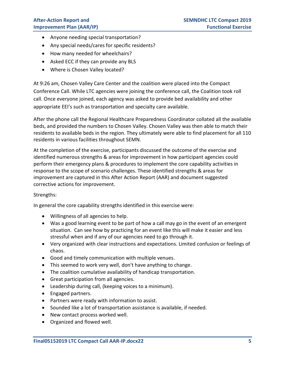- Anyone needing special transportation?
- Any special needs/cares for specific residents?
- How many needed for wheelchairs?
- Asked ECC if they can provide any BLS
- Where is Chosen Valley located?

At 9:26 am, Chosen Valley Care Center and the coalition were placed into the Compact Conference Call. While LTC agencies were joining the conference call, the Coalition took roll call. Once everyone joined, each agency was asked to provide bed availability and other appropriate EEI's such as transportation and specialty care available.

After the phone call the Regional Healthcare Preparedness Coordinator collated all the available beds, and provided the numbers to Chosen Valley. Chosen Valley was then able to match their residents to available beds in the region. They ultimately were able to find placement for all 110 residents in various facilities throughout SEMN.

At the completion of the exercise, participants discussed the outcome of the exercise and identified numerous strengths & areas for improvement in how participant agencies could perform their emergency plans & procedures to implement the core capability activities in response to the scope of scenario challenges. These identified strengths & areas for improvement are captured in this After Action Report (AAR) and document suggested corrective actions for improvement.

#### Strengths:

In general the core capability strengths identified in this exercise were:

- Willingness of all agencies to help.
- Was a good learning event to be part of how a call may go in the event of an emergent situation. Can see how by practicing for an event like this will make it easier and less stressful when and if any of our agencies need to go through it.
- Very organized with clear instructions and expectations. Limited confusion or feelings of chaos.
- Good and timely communication with multiple venues.
- This seemed to work very well, don't have anything to change.
- The coalition cumulative availability of handicap transportation.
- Great participation from all agencies.
- Leadership during call, (keeping voices to a minimum).
- Engaged partners.
- Partners were ready with information to assist.
- Sounded like a lot of transportation assistance is available, if needed.
- New contact process worked well.
- Organized and flowed well.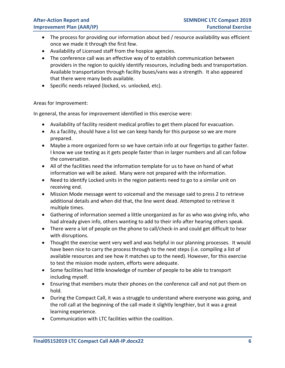- The process for providing our information about bed / resource availability was efficient once we made it through the first few.
- Availability of Licensed staff from the hospice agencies.
- The conference call was an effective way of to establish communication between providers in the region to quickly identify resources, including beds and transportation. Available transportation through facility buses/vans was a strength. It also appeared that there were many beds available.
- Specific needs relayed (locked, vs. unlocked, etc).

#### Areas for Improvement:

In general, the areas for improvement identified in this exercise were:

- Availability of facility resident medical profiles to get them placed for evacuation.
- As a facility, should have a list we can keep handy for this purpose so we are more prepared.
- Maybe a more organized form so we have certain info at our fingertips to gather faster. I know we use texting as it gets people faster than in larger numbers and all can follow the conversation.
- All of the facilities need the information template for us to have on hand of what information we will be asked. Many were not prepared with the information.
- Need to identify Locked units in the region patients need to go to a similar unit on receiving end.
- Mission Mode message went to voicemail and the message said to press 2 to retrieve additional details and when did that, the line went dead. Attempted to retrieve it multiple times.
- Gathering of information seemed a little unorganized as far as who was giving info, who had already given info, others wanting to add to their info after hearing others speak.
- There were a lot of people on the phone to call/check-in and could get difficult to hear with disruptions.
- Thought the exercise went very well and was helpful in our planning processes. It would have been nice to carry the process through to the next steps (i.e. compiling a list of available resources and see how it matches up to the need). However, for this exercise to test the mission mode system, efforts were adequate.
- Some facilities had little knowledge of number of people to be able to transport including myself.
- Ensuring that members mute their phones on the conference call and not put them on hold.
- During the Compact Call, it was a struggle to understand where everyone was going, and the roll call at the beginning of the call made it slightly lengthier, but it was a great learning experience.
- Communication with LTC facilities within the coalition.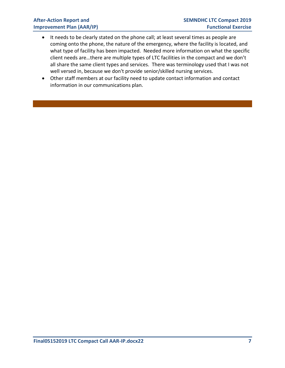- It needs to be clearly stated on the phone call; at least several times as people are coming onto the phone, the nature of the emergency, where the facility is located, and what type of facility has been impacted. Needed more information on what the specific client needs are…there are multiple types of LTC facilities in the compact and we don't all share the same client types and services. There was terminology used that I was not well versed in, because we don't provide senior/skilled nursing services.
- Other staff members at our facility need to update contact information and contact information in our communications plan.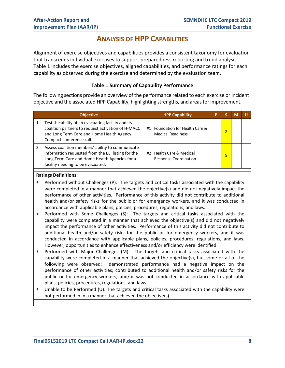### **ANALYSIS OF HPP CAPABILITIES**

Alignment of exercise objectives and capabilities provides a consistent taxonomy for evaluation that transcends individual exercises to support preparedness reporting and trend analysis. Table 1 includes the exercise objectives, aligned capabilities, and performance ratings for each capability as observed during the exercise and determined by the evaluation team.

#### **Table 1 Summary of Capability Performance**

The following sections provide an overview of the performance related to each exercise or incident objective and the associated HPP Capability, highlighting strengths, and areas for improvement.

| <b>Objective</b>                                                                                                                                                                             | <b>HPP Capability</b>                                       | P |   | М |  |
|----------------------------------------------------------------------------------------------------------------------------------------------------------------------------------------------|-------------------------------------------------------------|---|---|---|--|
| Test the ability of an evacuating facility and its<br>coalition partners to request activation of H-MACC<br>and Long Term Care and Home Health Agency<br>Compact conference call.            | #1 Foundation for Health Care &<br><b>Medical Readiness</b> |   | x |   |  |
| Assess coalition members' ability to communicate<br>information requested from the EEI listing for the<br>Long Term Care and Home Health Agencies for a<br>facility needing to be evacuated. | #2 Health Care & Medical<br><b>Response Coordination</b>    |   | x |   |  |

#### **Ratings Definitions:**

- Performed without Challenges (P): The targets and critical tasks associated with the capability were completed in a manner that achieved the objective(s) and did not negatively impact the performance of other activities. Performance of this activity did not contribute to additional health and/or safety risks for the public or for emergency workers, and it was conducted in accordance with applicable plans, policies, procedures, regulations, and laws.
- Performed with Some Challenges (S): The targets and critical tasks associated with the capability were completed in a manner that achieved the objective(s) and did not negatively impact the performance of other activities. Performance of this activity did not contribute to additional health and/or safety risks for the public or for emergency workers, and it was conducted in accordance with applicable plans, policies, procedures, regulations, and laws. However, opportunities to enhance effectiveness and/or efficiency were identified.
- Performed with Major Challenges (M): The targets and critical tasks associated with the capability were completed in a manner that achieved the objective(s), but some or all of the following were observed: demonstrated performance had a negative impact on the performance of other activities; contributed to additional health and/or safety risks for the public or for emergency workers; and/or was not conducted in accordance with applicable plans, policies, procedures, regulations, and laws.
- Unable to be Performed (U): The targets and critical tasks associated with the capability were not performed in in a manner that achieved the objective(s).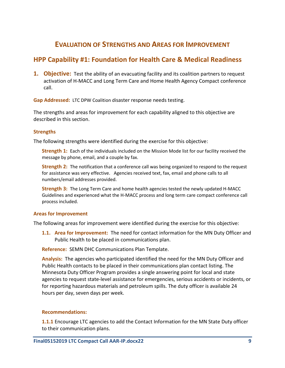# **EVALUATION OF STRENGTHS AND AREAS FOR IMPROVEMENT**

### **HPP Capability #1: Foundation for Health Care & Medical Readiness**

**1. Objective:** Test the ability of an evacuating facility and its coalition partners to request activation of H-MACC and Long Term Care and Home Health Agency Compact conference call.

**Gap Addressed:** LTC DPW Coalition disaster response needs testing.

The strengths and areas for improvement for each capability aligned to this objective are described in this section.

#### **Strengths**

The following strengths were identified during the exercise for this objective:

**Strength 1:** Each of the individuals included on the Mission Mode list for our facility received the message by phone, email, and a couple by fax.

**Strength 2:** The notification that a conference call was being organized to respond to the request for assistance was very effective. Agencies received text, fax, email and phone calls to all numbers/email addresses provided.

**Strength 3:** The Long Term Care and home health agencies tested the newly updated H-MACC Guidelines and experienced what the H-MACC process and long term care compact conference call process included.

#### **Areas for Improvement**

The following areas for improvement were identified during the exercise for this objective:

**1.1. Area for Improvement:** The need for contact information for the MN Duty Officer and Public Health to be placed in communications plan.

**Reference:** SEMN DHC Communications Plan Template.

**Analysis:** The agencies who participated identified the need for the MN Duty Officer and Public Health contacts to be placed in their communications plan contact listing. The Minnesota Duty Officer Program provides a single answering point for local and state agencies to request state-level assistance for emergencies, serious accidents or incidents, or for reporting hazardous materials and petroleum spills. The duty officer is available 24 hours per day, seven days per week.

#### **Recommendations:**

**1.1.1** Encourage LTC agencies to add the Contact Information for the MN State Duty officer to their communication plans.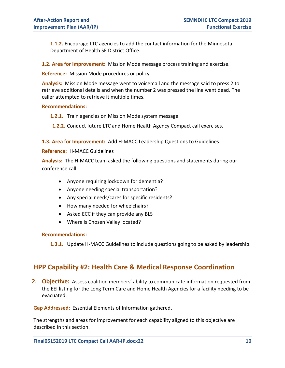**1.1.2.** Encourage LTC agencies to add the contact information for the Minnesota Department of Health SE District Office.

**1.2. Area for Improvement:** Mission Mode message process training and exercise.

#### **Reference:** Mission Mode procedures or policy

**Analysis:** Mission Mode message went to voicemail and the message said to press 2 to retrieve additional details and when the number 2 was pressed the line went dead. The caller attempted to retrieve it multiple times.

#### **Recommendations:**

**1.2.1.** Train agencies on Mission Mode system message.

**1.2.2.** Conduct future LTC and Home Health Agency Compact call exercises.

**1.3. Area for Improvement:** Add H-MACC Leadership Questions to Guidelines

#### **Reference:** H-MACC Guidelines

**Analysis:** The H-MACC team asked the following questions and statements during our conference call:

- Anyone requiring lockdown for dementia?
- Anyone needing special transportation?
- Any special needs/cares for specific residents?
- How many needed for wheelchairs?
- Asked ECC if they can provide any BLS
- Where is Chosen Valley located?

#### **Recommendations:**

**1.3.1.** Update H-MACC Guidelines to include questions going to be asked by leadership.

### **HPP Capability #2: Health Care & Medical Response Coordination**

**2. Objective:** Assess coalition members' ability to communicate information requested from the EEI listing for the Long Term Care and Home Health Agencies for a facility needing to be evacuated.

**Gap Addressed:** Essential Elements of Information gathered.

The strengths and areas for improvement for each capability aligned to this objective are described in this section.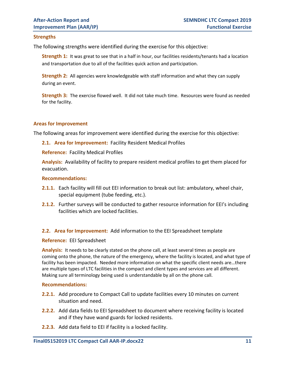#### **Strengths**

The following strengths were identified during the exercise for this objective:

**Strength 1:** It was great to see that in a half in hour, our facilities residents/tenants had a location and transportation due to all of the facilities quick action and participation.

**Strength 2:** All agencies were knowledgeable with staff information and what they can supply during an event.

**Strength 3:** The exercise flowed well. It did not take much time. Resources were found as needed for the facility.

#### **Areas for Improvement**

The following areas for improvement were identified during the exercise for this objective:

#### **2.1. Area for Improvement:** Facility Resident Medical Profiles

**Reference:** Facility Medical Profiles

**Analysis:** Availability of facility to prepare resident medical profiles to get them placed for evacuation.

#### **Recommendations:**

- **2.1.1.** Each facility will fill out EEI information to break out list: ambulatory, wheel chair, special equipment (tube feeding, etc.).
- **2.1.2.** Further surveys will be conducted to gather resource information for EEI's including facilities which are locked facilities.

#### **2.2. Area for Improvement:** Add information to the EEI Spreadsheet template

#### **Reference:** EEI Spreadsheet

**Analysis:** It needs to be clearly stated on the phone call, at least several times as people are coming onto the phone, the nature of the emergency, where the facility is located, and what type of facility has been impacted. Needed more information on what the specific client needs are…there are multiple types of LTC facilities in the compact and client types and services are all different. Making sure all terminology being used is understandable by all on the phone call.

#### **Recommendations:**

- **2.2.1.** Add procedure to Compact Call to update facilities every 10 minutes on current situation and need.
- **2.2.2.** Add data fields to EEI Spreadsheet to document where receiving facility is located and if they have wand guards for locked residents.
- **2.2.3.** Add data field to EEI if facility is a locked facility.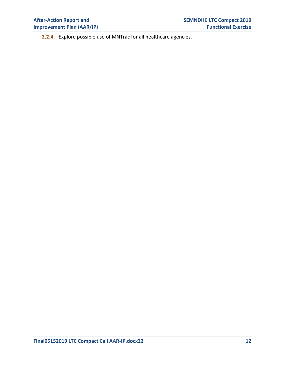**2.2.4.** Explore possible use of MNTrac for all healthcare agencies.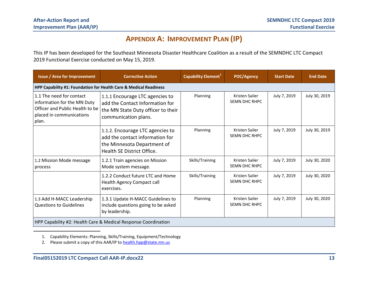# **APPENDIX A: IMPROVEMENT PLAN (IP)**

This IP has been developed for the Southeast Minnesota Disaster Healthcare Coalition as a result of the SEMNDHC LTC Compact 2019 Functional Exercise conducted on May 15, 2019.

| <b>Issue / Area for Improvement</b>                                                                                             | <b>Corrective Action</b>                                                                                                         | Capability Element <sup>1</sup> | <b>POC/Agency</b>                      | <b>Start Date</b> | <b>End Date</b> |
|---------------------------------------------------------------------------------------------------------------------------------|----------------------------------------------------------------------------------------------------------------------------------|---------------------------------|----------------------------------------|-------------------|-----------------|
| HPP Capability #1: Foundation for Health Care & Medical Readiness                                                               |                                                                                                                                  |                                 |                                        |                   |                 |
| 1.1 The need for contact<br>information for the MN Duty<br>Officer and Public Health to be<br>placed in communications<br>plan. | 1.1.1 Encourage LTC agencies to<br>add the Contact Information for<br>the MN State Duty officer to their<br>communication plans. | Planning                        | Kristen Sailer<br>SEMN DHC RHPC        | July 7, 2019      | July 30, 2019   |
|                                                                                                                                 | 1.1.2. Encourage LTC agencies to<br>add the contact information for<br>the Minnesota Department of<br>Health SE District Office. | Planning                        | Kristen Sailer<br><b>SEMN DHC RHPC</b> | July 7, 2019      | July 30, 2019   |
| 1.2 Mission Mode message<br>process                                                                                             | 1.2.1 Train agencies on Mission<br>Mode system message.                                                                          | Skills/Training                 | Kristen Sailer<br><b>SEMN DHC RHPC</b> | July 7, 2019      | July 30, 2020   |
|                                                                                                                                 | 1.2.2 Conduct future LTC and Home<br>Health Agency Compact call<br>exercises.                                                    | Skills/Training                 | Kristen Sailer<br><b>SEMN DHC RHPC</b> | July 7, 2019      | July 30, 2020   |
| 1.3 Add H-MACC Leadership<br><b>Questions to Guidelines</b>                                                                     | 1.3.1 Update H-MACC Guidelines to<br>include questions going to be asked<br>by leadership.                                       | Planning                        | Kristen Sailer<br><b>SEMN DHC RHPC</b> | July 7, 2019      | July 30, 2020   |
| HPP Capability #2: Health Care & Medical Response Coordination                                                                  |                                                                                                                                  |                                 |                                        |                   |                 |

1. Capability Elements: Planning, Skills/Training, Equipment/Technology

2. Please submit a copy of this AAR/IP t[o health.hpp@state.mn.us](mailto:health.hpp@state.mn.us)

 $\overline{\phantom{a}}$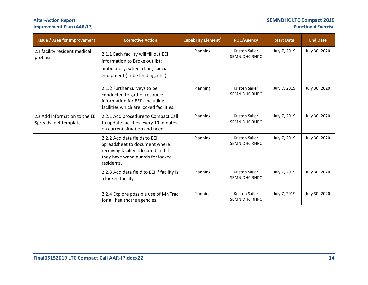# **After-Action Report SEMNDHC LTC Compact 2019**

# **Improvement Plan (AAR/IP)**

| <b>Issue / Area for Improvement</b>                    | <b>Corrective Action</b>                                                                                                                                | Capability Element <sup>1</sup> | POC/Agency                             | <b>Start Date</b> | <b>End Date</b> |
|--------------------------------------------------------|---------------------------------------------------------------------------------------------------------------------------------------------------------|---------------------------------|----------------------------------------|-------------------|-----------------|
| 2.1 facility resident medical<br>profiles              | 2.1.1 Each facility will fill out EEI<br>information to Broke out list:<br>ambulatory, wheel chair, special<br>equipment (tube feeding, etc.).          | Planning                        | Kristen Sailer<br><b>SEMN DHC RHPC</b> | July 7, 2019      | July 30, 2020   |
|                                                        | 2.1.2 Further surveys to be<br>conducted to gather resource<br>information for EEI's including<br>facilities which are locked facilities.               | Planning                        | Kristen Sailer<br><b>SEMN DHC RHPC</b> | July 7, 2019      | July 30, 2020   |
| 2.2 Add information to the EEI<br>Spreadsheet template | 2.2.1 Add procedure to Compact Call<br>to update facilities every 10 minutes<br>on current situation and need.                                          | Planning                        | Kristen Sailer<br><b>SEMN DHC RHPC</b> | July 7, 2019      | July 30, 2020   |
|                                                        | 2.2.2 Add data fields to EEI<br>Spreadsheet to document where<br>receiving facility is located and if<br>they have wand guards for locked<br>residents. | Planning                        | Kristen Sailer<br><b>SEMN DHC RHPC</b> | July 7, 2019      | July 30, 2020   |
|                                                        | 2.2.3 Add data field to EEI if facility is<br>a locked facility.                                                                                        | Planning                        | Kristen Sailer<br><b>SEMN DHC RHPC</b> | July 7, 2019      | July 30, 2020   |
|                                                        | 2.2.4 Explore possible use of MNTrac<br>for all healthcare agencies.                                                                                    | Planning                        | Kristen Sailer<br><b>SEMN DHC RHPC</b> | July 7, 2019      | July 30, 2020   |